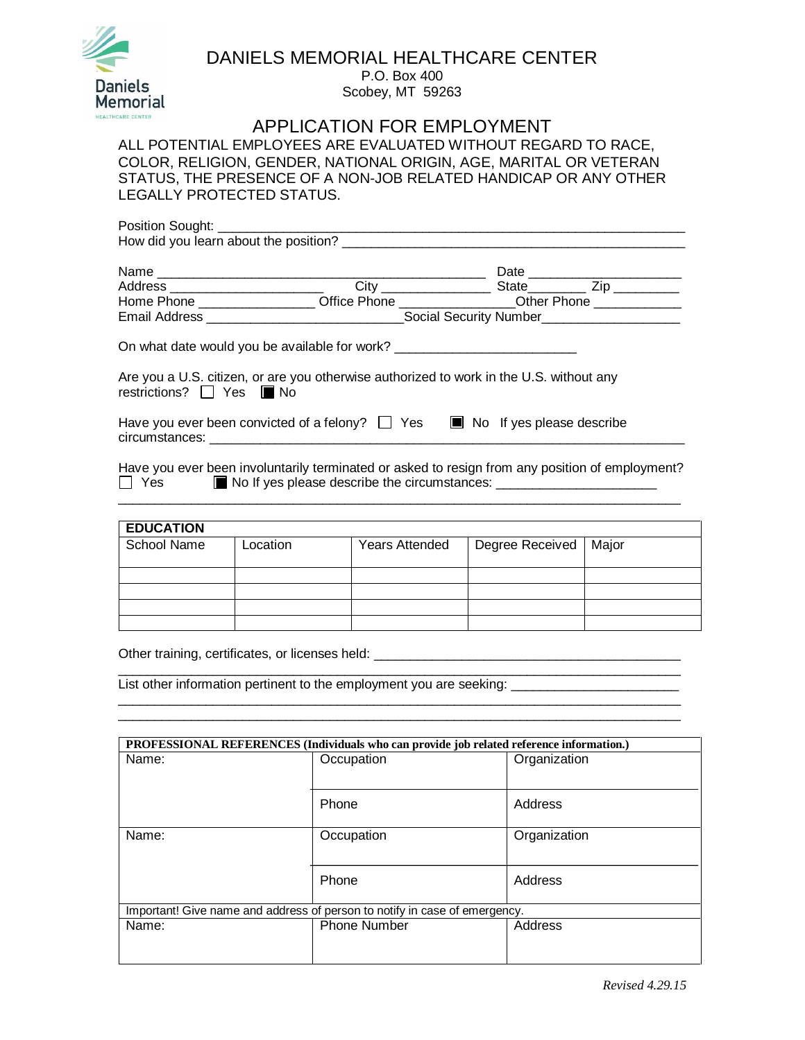

## DANIELS MEMORIAL HEALTHCARE CENTER

P.O. Box 400 Scobey, MT 59263

## APPLICATION FOR EMPLOYMENT

ALL POTENTIAL EMPLOYEES ARE EVALUATED WITHOUT REGARD TO RACE, COLOR, RELIGION, GENDER, NATIONAL ORIGIN, AGE, MARITAL OR VETERAN STATUS, THE PRESENCE OF A NON-JOB RELATED HANDICAP OR ANY OTHER LEGALLY PROTECTED STATUS.

| Address ____________________________ |                                                                                         |                                                                                       |  |  |
|--------------------------------------|-----------------------------------------------------------------------------------------|---------------------------------------------------------------------------------------|--|--|
|                                      |                                                                                         | Home Phone ____________________Office Phone ________________Other Phone _____________ |  |  |
|                                      |                                                                                         |                                                                                       |  |  |
|                                      | On what date would you be available for work? __________________________________        |                                                                                       |  |  |
| restrictions?   Yes ■ No             | Are you a U.S. citizen, or are you otherwise authorized to work in the U.S. without any |                                                                                       |  |  |
|                                      | Have you ever been convicted of a felony? $\Box$ Yes $\Box$ No If yes please describe   |                                                                                       |  |  |

Have you ever been involuntarily terminated or asked to resign from any position of employment?  $Yes$   $\Box$  No If yes please describe the circumstances:  $\Box$  $\_$  ,  $\_$  ,  $\_$  ,  $\_$  ,  $\_$  ,  $\_$  ,  $\_$  ,  $\_$  ,  $\_$  ,  $\_$  ,  $\_$  ,  $\_$  ,  $\_$  ,  $\_$  ,  $\_$  ,  $\_$  ,  $\_$  ,  $\_$  ,  $\_$  ,  $\_$  ,  $\_$  ,  $\_$  ,  $\_$  ,  $\_$  ,  $\_$  ,  $\_$  ,  $\_$  ,  $\_$  ,  $\_$  ,  $\_$  ,  $\_$  ,  $\_$  ,  $\_$  ,  $\_$  ,  $\_$  ,  $\_$  ,  $\_$  ,

| <b>EDUCATION</b> |          |                       |                 |       |
|------------------|----------|-----------------------|-----------------|-------|
| School Name      | Location | <b>Years Attended</b> | Degree Received | Major |
|                  |          |                       |                 |       |
|                  |          |                       |                 |       |
|                  |          |                       |                 |       |
|                  |          |                       |                 |       |
|                  |          |                       |                 |       |

\_\_\_\_\_\_\_\_\_\_\_\_\_\_\_\_\_\_\_\_\_\_\_\_\_\_\_\_\_\_\_\_\_\_\_\_\_\_\_\_\_\_\_\_\_\_\_\_\_\_\_\_\_\_\_\_\_\_\_\_\_\_\_\_\_\_\_\_\_\_\_\_\_\_\_\_\_ \_\_\_\_\_\_\_\_\_\_\_\_\_\_\_\_\_\_\_\_\_\_\_\_\_\_\_\_\_\_\_\_\_\_\_\_\_\_\_\_\_\_\_\_\_\_\_\_\_\_\_\_\_\_\_\_\_\_\_\_\_\_\_\_\_\_\_\_\_\_\_\_\_\_\_\_\_

Other training, certificates, or licenses held: \_\_\_\_\_\_\_\_\_\_\_\_\_\_\_\_\_\_\_\_\_\_\_\_\_\_\_\_\_\_\_\_

List other information pertinent to the employment you are seeking: \_\_\_\_\_\_\_\_\_\_\_\_\_\_\_\_\_\_

| PROFESSIONAL REFERENCES (Individuals who can provide job related reference information.) |                     |              |  |  |  |
|------------------------------------------------------------------------------------------|---------------------|--------------|--|--|--|
| Name:                                                                                    | Occupation          | Organization |  |  |  |
|                                                                                          |                     |              |  |  |  |
|                                                                                          | Phone               | Address      |  |  |  |
|                                                                                          |                     |              |  |  |  |
| Name:                                                                                    | Occupation          | Organization |  |  |  |
|                                                                                          |                     |              |  |  |  |
|                                                                                          | Phone               | Address      |  |  |  |
|                                                                                          |                     |              |  |  |  |
| Important! Give name and address of person to notify in case of emergency.               |                     |              |  |  |  |
| Name:                                                                                    | <b>Phone Number</b> | Address      |  |  |  |
|                                                                                          |                     |              |  |  |  |
|                                                                                          |                     |              |  |  |  |